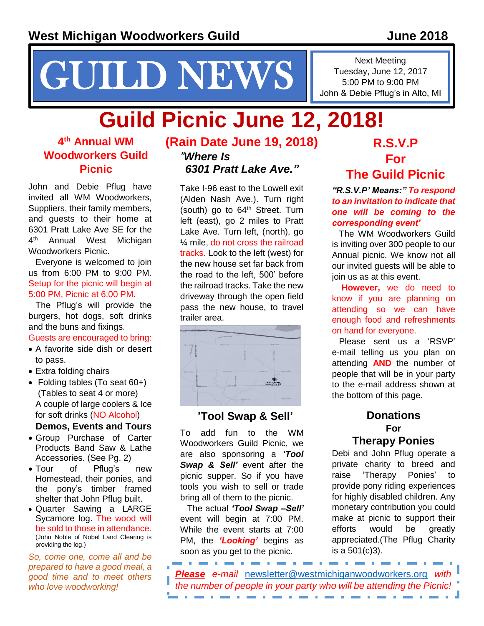# NEWS I Tuesday, June 12, 20

Next Meeting Tuesday, June 12, 2017 John & Debie Pflug's in Alto, MI

## **Guild Picnic June 12, 2018!**

#### **4 th Annual WM Woodworkers Guild Picnic**

John and Debie Pflug have invited all WM Woodworkers, Suppliers, their family members, and guests to their home at 6301 Pratt Lake Ave SE for the  $4^{\text{th}}$ Annual West Michigan Woodworkers Picnic.

Everyone is welcomed to join us from 6:00 PM to 9:00 PM. Setup for the picnic will begin at 5:00 PM, Picnic at 6:00 PM.

The Pflug's will provide the burgers, hot dogs, soft drinks and the buns and fixings.

#### Guests are encouraged to bring:

- A favorite side dish or desert to pass.
- Extra folding chairs
- Folding tables (To seat 60+) (Tables to seat 4 or more) A couple of large coolers & Ice for soft drinks (NO Alcohol)

**Demos, Events and Tours**

- Group Purchase of Carter Products Band Saw & Lathe Accessories. (See Pg. 2)
- Tour of Pflug's new Homestead, their ponies, and the pony's timber framed shelter that John Pflug built.
- Quarter Sawing a LARGE Sycamore log. The wood will be sold to those in attendance. (John Noble of Nobel Land Clearing is providing the log.)

*So, come one, come all and be prepared to have a good meal, a good time and to meet others who love woodworking!*

#### **(Rain Date June 19, 2018)** *"Where Is 6301 Pratt Lake Ave."*

Take I-96 east to the Lowell exit (Alden Nash Ave.). Turn right (south) go to  $64<sup>th</sup>$  Street. Turn left (east), go 2 miles to Pratt Lake Ave. Turn left, (north), go ¼ mile, do not cross the railroad tracks. Look to the left (west) for the new house set far back from the road to the left, 500' before the railroad tracks. Take the new driveway through the open field pass the new house, to travel trailer area.



#### **'Tool Swap & Sell'**

To add fun to the WM Woodworkers Guild Picnic, we are also sponsoring a *'Tool Swap & Sell'* event after the picnic supper. So if you have tools you wish to sell or trade bring all of them to the picnic.

The actual *'Tool Swap –Sell'* event will begin at 7:00 PM. While the event starts at 7:00 PM, the *'Looking'* begins as soon as you get to the picnic.

#### **R.S.V.P For The Guild Picnic**

*"R.S.V.P' Means:" To respond to an invitation to indicate that one will be coming to the corresponding event'*

The WM Woodworkers Guild is inviting over 300 people to our Annual picnic. We know not all our invited guests will be able to join us as at this event.

**However,** we do need to know if you are planning on attending so we can have enough food and refreshments on hand for everyone.

Please sent us a 'RSVP' e-mail telling us you plan on attending **AND** the number of people that will be in your party to the e-mail address shown at the bottom of this page.

#### **Donations For Therapy Ponies**

Debi and John Pflug operate a private charity to breed and raise 'Therapy Ponies' to provide pony riding experiences for highly disabled children. Any monetary contribution you could make at picnic to support their efforts would be greatly appreciated.(The Pflug Charity is a 501(c)3).

*Please e-mail* [newsletter@westmichiganwoodworkers.org](mailto:newsletter@westmichiganwoodworkers.org) *with the number of people in your party who will be attending the Picnic!*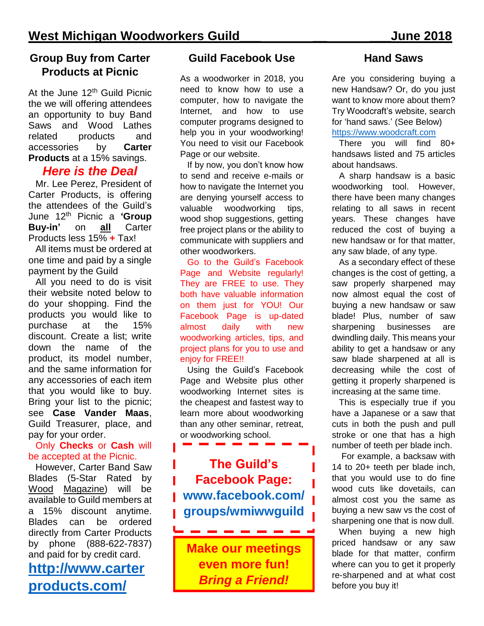#### **Group Buy from Carter Products at Picnic**

At the June 12<sup>th</sup> Guild Picnic the we will offering attendees an opportunity to buy Band Saws and Wood Lathes related products and accessories by **Carter Products** at a 15% savings.

#### *Here is the Deal*

Mr. Lee Perez, President of Carter Products, is offering the attendees of the Guild's June 12th Picnic a **'Group Buy-in'** on **all** Carter Products less 15% **+** Tax!

All items must be ordered at one time and paid by a single payment by the Guild

All you need to do is visit their website noted below to do your shopping. Find the products you would like to purchase at the 15% discount. Create a list; write down the name of the product, its model number, and the same information for any accessories of each item that you would like to buy. Bring your list to the picnic; see **Case Vander Maas**, Guild Treasurer, place, and pay for your order.

#### Only **Checks** or **Cash** will be accepted at the Picnic.

However, Carter Band Saw Blades (5-Star Rated by Wood Magazine) will be available to Guild members at a 15% discount anytime. Blades can be ordered directly from Carter Products by phone (888-622-7837) and paid for by credit card.

#### **[http://www.carter](http://www.carterproducts.com/) [products.com/](http://www.carterproducts.com/)**

#### **Guild Facebook Use**

As a woodworker in 2018, you need to know how to use a computer, how to navigate the Internet, and how to use computer programs designed to help you in your woodworking! You need to visit our Facebook Page or our website.

If by now, you don't know how to send and receive e-mails or how to navigate the Internet you are denying yourself access to valuable woodworking tips, wood shop suggestions, getting free project plans or the ability to communicate with suppliers and other woodworkers.

Go to the Guild's Facebook Page and Website regularly! They are FREE to use. They both have valuable information on them just for YOU! Our Facebook Page is up-dated almost daily with new woodworking articles, tips, and project plans for you to use and enjoy for FREE!!

Using the Guild's Facebook Page and Website plus other woodworking Internet sites is the cheapest and fastest way to learn more about woodworking than any other seminar, retreat, or woodworking school.

#### **The Guild's Facebook Page: [www.facebook.com/](http://www.facebook.com/groups/wmiwwguild) [groups/wmiwwguild](http://www.facebook.com/groups/wmiwwguild)**

**Make our meetings even more fun!**  *Bring a Friend!*

-----------

#### **Hand Saws**

Are you considering buying a new Handsaw? Or, do you just want to know more about them? Try Woodcraft's website, search for 'hand saws.' (See Below) [https://www.woodcraft.com](https://www.woodcraft.com/)

There you will find 80+ handsaws listed and 75 articles about handsaws.

A sharp handsaw is a basic woodworking tool. However, there have been many changes relating to all saws in recent years. These changes have reduced the cost of buying a new handsaw or for that matter, any saw blade, of any type.

As a secondary effect of these changes is the cost of getting, a saw properly sharpened may now almost equal the cost of buying a new handsaw or saw blade! Plus, number of saw sharpening businesses are dwindling daily. This means your ability to get a handsaw or any saw blade sharpened at all is decreasing while the cost of getting it properly sharpened is increasing at the same time.

This is especially true if you have a Japanese or a saw that cuts in both the push and pull stroke or one that has a high number of teeth per blade inch.

For example, a backsaw with 14 to 20+ teeth per blade inch, that you would use to do fine wood cuts like dovetails, can almost cost you the same as buying a new saw vs the cost of sharpening one that is now dull.

When buying a new high priced handsaw or any saw blade for that matter, confirm where can you to get it properly re-sharpened and at what cost before you buy it!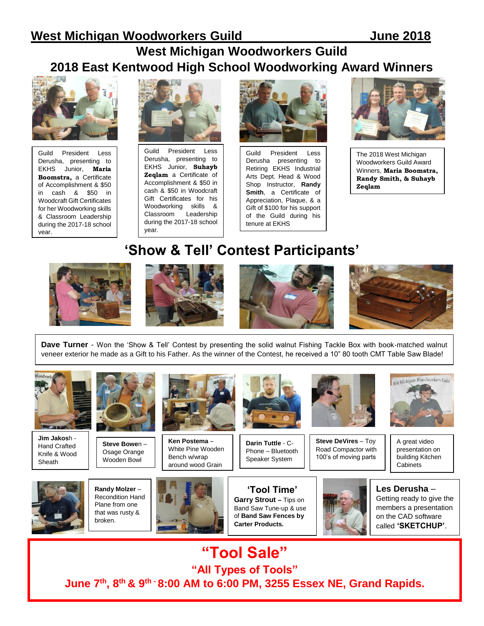#### **West Michigan Woodworkers Guild 2018 East Kentwood High School Woodworking Award Winners**



Guild President Less Derusha, presenting to EKHS Junior, **Maria Boomstra,** a Certificate of Accomplishment & \$50 in cash & \$50 in Woodcraft Gift Certificates for her Woodworking skills & Classroom Leadership during the 2017-18 school year.



Guild President Less Derusha, presenting to EKHS Junior, **Suhayb Zeqlam** a Certificate of Accomplishment & \$50 in cash & \$50 in Woodcraft Gift Certificates for his Woodworking skills & Classroom Leadership during the 2017-18 school year.



Guild President Less Derusha presenting to Retiring EKHS Industrial Arts Dept. Head & Wood Shop Instructor, **Randy Smith**, a Certificate of Appreciation, Plaque, & a Gift of \$100 for his support of the Guild during his tenure at EKHS



The 2018 West Michigan Woodworkers Guild Award Winners, **Maria Boomstra, Randy Smith, & Suhayb Zeqlam**

#### **'Show & Tell' Contest Participants'**









**Dave Turner** - Won the 'Show & Tell' Contest by presenting the solid walnut Fishing Tackle Box with book-matched walnut veneer exterior he made as a Gift to his Father. As the winner of the Contest, he received a 10" 80 tooth CMT Table Saw Blade!



**Jim Jakos**h - Hand Crafted Knife & Wood **Sheath** 



**Steve Bowe**n – Osage Orange Wooden Bowl



**Ken Postema** – White Pine Wooden Bench w/wrap around wood Grain



**Darin Tuttle** - C-Phone – Bluetooth Speaker System



**Steve DeVires** – Toy Road Compactor with 100's of moving parts



A great video presentation on building Kitchen **Cabinets** 



**Randy Molzer** – Recondition Hand Plane from one that was rusty & broken.



**'Tool Time' Garry Strout –** Tips on Band Saw Tune-up & use of **Band Saw Fences by Carter Products.**





**"Tool Sale" "All Types of Tools" June 7 th , 8 th & 9 th - 8:00 AM to 6:00 PM, 3255 Essex NE, Grand Rapids.**